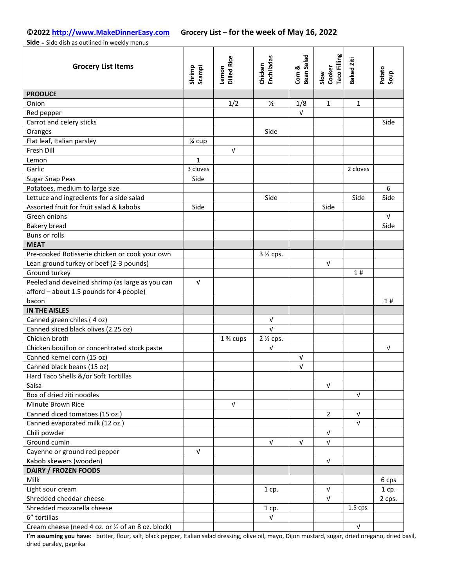**Side** = Side dish as outlined in weekly menus

| <b>Grocery List Items</b>                          | Shrimp<br>Scampi | <b>Dilled Rice</b><br>Lemon | <b>Enchiladas</b><br>Chicken | <b>Bean Salad</b><br>Corn & | Taco Filling<br>Slow<br>Cooker | Baked Ziti   | Potato<br>Soup |
|----------------------------------------------------|------------------|-----------------------------|------------------------------|-----------------------------|--------------------------------|--------------|----------------|
| <b>PRODUCE</b>                                     |                  |                             |                              |                             |                                |              |                |
| Onion                                              |                  | 1/2                         | $\frac{1}{2}$                | 1/8                         | $\mathbf{1}$                   | $\mathbf{1}$ |                |
| Red pepper                                         |                  |                             |                              | $\sqrt{ }$                  |                                |              |                |
| Carrot and celery sticks                           |                  |                             |                              |                             |                                |              | Side           |
| Oranges                                            |                  |                             | Side                         |                             |                                |              |                |
| Flat leaf, Italian parsley                         | 1⁄4 cup          |                             |                              |                             |                                |              |                |
| Fresh Dill                                         |                  | $\sqrt{ }$                  |                              |                             |                                |              |                |
| Lemon                                              | $\mathbf{1}$     |                             |                              |                             |                                |              |                |
| Garlic                                             | 3 cloves         |                             |                              |                             |                                | 2 cloves     |                |
| Sugar Snap Peas                                    | Side             |                             |                              |                             |                                |              |                |
| Potatoes, medium to large size                     |                  |                             |                              |                             |                                |              | 6              |
| Lettuce and ingredients for a side salad           |                  |                             | Side                         |                             |                                | Side         | Side           |
| Assorted fruit for fruit salad & kabobs            | Side             |                             |                              |                             | Side                           |              |                |
| Green onions                                       |                  |                             |                              |                             |                                |              | V              |
| Bakery bread                                       |                  |                             |                              |                             |                                |              | Side           |
| Buns or rolls                                      |                  |                             |                              |                             |                                |              |                |
| <b>MEAT</b>                                        |                  |                             |                              |                             |                                |              |                |
| Pre-cooked Rotisserie chicken or cook your own     |                  |                             | 3 1/2 cps.                   |                             |                                |              |                |
| Lean ground turkey or beef (2-3 pounds)            |                  |                             |                              |                             | $\sqrt{ }$                     |              |                |
| Ground turkey                                      |                  |                             |                              |                             |                                | 1#           |                |
| Peeled and deveined shrimp (as large as you can    | $\sqrt{ }$       |                             |                              |                             |                                |              |                |
| afford - about 1.5 pounds for 4 people)            |                  |                             |                              |                             |                                |              |                |
| bacon                                              |                  |                             |                              |                             |                                |              | 1#             |
| <b>IN THE AISLES</b>                               |                  |                             |                              |                             |                                |              |                |
| Canned green chiles (4 oz)                         |                  |                             | V                            |                             |                                |              |                |
| Canned sliced black olives (2.25 oz)               |                  |                             | $\sqrt{ }$                   |                             |                                |              |                |
| Chicken broth                                      |                  | 1 % cups                    | 2 <sup>1/2</sup> cps.        |                             |                                |              |                |
| Chicken bouillon or concentrated stock paste       |                  |                             | $\sqrt{ }$                   |                             |                                |              | V              |
| Canned kernel corn (15 oz)                         |                  |                             |                              | V                           |                                |              |                |
| Canned black beans (15 oz)                         |                  |                             |                              | $\sqrt{ }$                  |                                |              |                |
| Hard Taco Shells &/or Soft Tortillas               |                  |                             |                              |                             |                                |              |                |
| Salsa                                              |                  |                             |                              |                             | V                              |              |                |
| Box of dried ziti noodles                          |                  |                             |                              |                             |                                | $\sqrt{ }$   |                |
| Minute Brown Rice                                  |                  | $\sqrt{ }$                  |                              |                             |                                |              |                |
| Canned diced tomatoes (15 oz.)                     |                  |                             |                              |                             | $\overline{2}$                 | $\sqrt{ }$   |                |
| Canned evaporated milk (12 oz.)                    |                  |                             |                              |                             |                                | $\sqrt{ }$   |                |
| Chili powder                                       |                  |                             |                              |                             | $\sqrt{ }$                     |              |                |
| Ground cumin                                       |                  |                             | V                            | V                           | V                              |              |                |
| Cayenne or ground red pepper                       | $\sqrt{ }$       |                             |                              |                             |                                |              |                |
| Kabob skewers (wooden)                             |                  |                             |                              |                             | V                              |              |                |
| DAIRY / FROZEN FOODS                               |                  |                             |                              |                             |                                |              |                |
| Milk                                               |                  |                             |                              |                             |                                |              | 6 cps          |
| Light sour cream                                   |                  |                             | $1$ cp.                      |                             | $\sqrt{ }$                     |              | 1 cp.          |
| Shredded cheddar cheese                            |                  |                             |                              |                             | $\sqrt{ }$                     |              | 2 cps.         |
| Shredded mozzarella cheese                         |                  |                             | 1 cp.                        |                             |                                | 1.5 cps.     |                |
| 6" tortillas                                       |                  |                             | $\sqrt{ }$                   |                             |                                |              |                |
| Cream cheese (need 4 oz. or 1/2 of an 8 oz. block) |                  |                             |                              |                             |                                | $\sqrt{ }$   |                |

**I'm assuming you have:** butter, flour, salt, black pepper, Italian salad dressing, olive oil, mayo, Dijon mustard, sugar, dried oregano, dried basil, dried parsley, paprika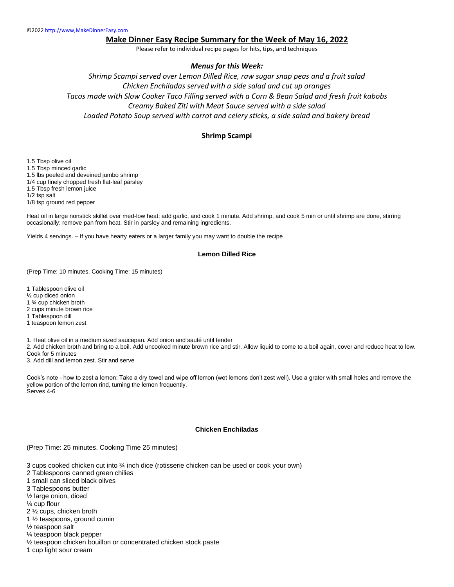## **Make Dinner Easy Recipe Summary for the Week of May 16, 2022**

Please refer to individual recipe pages for hits, tips, and techniques

#### *Menus for this Week:*

*Shrimp Scampi served over Lemon Dilled Rice, raw sugar snap peas and a fruit salad Chicken Enchiladas served with a side salad and cut up oranges Tacos made with Slow Cooker Taco Filling served with a Corn & Bean Salad and fresh fruit kabobs Creamy Baked Ziti with Meat Sauce served with a side salad Loaded Potato Soup served with carrot and celery sticks, a side salad and bakery bread*

#### **Shrimp Scampi**

1.5 Tbsp olive oil 1.5 Tbsp minced garlic 1.5 lbs peeled and deveined jumbo shrimp 1/4 cup finely chopped fresh flat-leaf parsley 1.5 Tbsp fresh lemon juice 1/2 tsp salt 1/8 tsp ground red pepper

Heat oil in large nonstick skillet over med-low heat; add garlic, and cook 1 minute. Add shrimp, and cook 5 min or until shrimp are done, stirring occasionally; remove pan from heat. Stir in parsley and remaining ingredients.

Yields 4 servings. – If you have hearty eaters or a larger family you may want to double the recipe

#### **Lemon Dilled Rice**

(Prep Time: 10 minutes. Cooking Time: 15 minutes)

1 Tablespoon olive oil

½ cup diced onion

1 ¾ cup chicken broth

2 cups minute brown rice

1 Tablespoon dill

1 teaspoon lemon zest

1. Heat olive oil in a medium sized saucepan. Add onion and sauté until tender

2. Add chicken broth and bring to a boil. Add uncooked minute brown rice and stir. Allow liquid to come to a boil again, cover and reduce heat to low. Cook for 5 minutes

3. Add dill and lemon zest. Stir and serve

Cook's note - how to zest a lemon: Take a dry towel and wipe off lemon (wet lemons don't zest well). Use a grater with small holes and remove the yellow portion of the lemon rind, turning the lemon frequently. Serves 4-6

#### **Chicken Enchiladas**

(Prep Time: 25 minutes. Cooking Time 25 minutes)

3 cups cooked chicken cut into ¾ inch dice (rotisserie chicken can be used or cook your own)

- 2 Tablespoons canned green chilies
- 1 small can sliced black olives
- 3 Tablespoons butter
- ½ large onion, diced

¼ cup flour

- 2 ½ cups, chicken broth
- 1 ½ teaspoons, ground cumin
- ½ teaspoon salt
- ¼ teaspoon black pepper
- ½ teaspoon chicken bouillon or concentrated chicken stock paste
- 1 cup light sour cream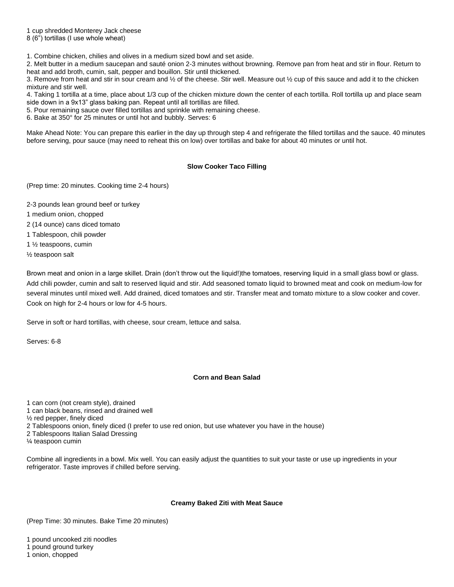1 cup shredded Monterey Jack cheese

8 (6") tortillas (I use whole wheat)

1. Combine chicken, chilies and olives in a medium sized bowl and set aside.

2. Melt butter in a medium saucepan and sauté onion 2-3 minutes without browning. Remove pan from heat and stir in flour. Return to heat and add broth, cumin, salt, pepper and bouillon. Stir until thickened.

3. Remove from heat and stir in sour cream and ½ of the cheese. Stir well. Measure out ½ cup of this sauce and add it to the chicken mixture and stir well.

4. Taking 1 tortilla at a time, place about 1/3 cup of the chicken mixture down the center of each tortilla. Roll tortilla up and place seam side down in a 9x13" glass baking pan. Repeat until all tortillas are filled.

5. Pour remaining sauce over filled tortillas and sprinkle with remaining cheese.

6. Bake at 350° for 25 minutes or until hot and bubbly. Serves: 6

Make Ahead Note: You can prepare this earlier in the day up through step 4 and refrigerate the filled tortillas and the sauce. 40 minutes before serving, pour sauce (may need to reheat this on low) over tortillas and bake for about 40 minutes or until hot.

### **Slow Cooker Taco Filling**

(Prep time: 20 minutes. Cooking time 2-4 hours)

2-3 pounds lean ground beef or turkey

1 medium onion, chopped

2 (14 ounce) cans diced tomato

1 Tablespoon, chili powder

- 1 ½ teaspoons, cumin
- ½ teaspoon salt

Brown meat and onion in a large skillet. Drain (don't throw out the liquid!)the tomatoes, reserving liquid in a small glass bowl or glass. Add chili powder, cumin and salt to reserved liquid and stir. Add seasoned tomato liquid to browned meat and cook on medium-low for several minutes until mixed well. Add drained, diced tomatoes and stir. Transfer meat and tomato mixture to a slow cooker and cover. Cook on high for 2-4 hours or low for 4-5 hours.

Serve in soft or hard tortillas, with cheese, sour cream, lettuce and salsa.

Serves: 6-8

### **Corn and Bean Salad**

1 can corn (not cream style), drained

1 can black beans, rinsed and drained well

½ red pepper, finely diced

2 Tablespoons onion, finely diced (I prefer to use red onion, but use whatever you have in the house)

2 Tablespoons Italian Salad Dressing

¼ teaspoon cumin

Combine all ingredients in a bowl. Mix well. You can easily adjust the quantities to suit your taste or use up ingredients in your refrigerator. Taste improves if chilled before serving.

### **Creamy Baked Ziti with Meat Sauce**

(Prep Time: 30 minutes. Bake Time 20 minutes)

1 pound uncooked ziti noodles

1 pound ground turkey

1 onion, chopped